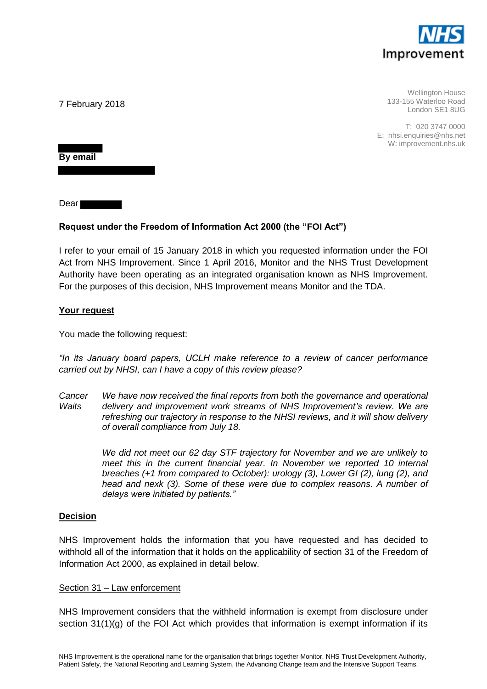

Wellington House 133-155 Waterloo Road London SE1 8UG

T: 020 3747 0000 E: nhsi.enquiries@nhs.net W: improvement.nhs.uk

7 February 2018

**By email** 

Dear

# **Request under the Freedom of Information Act 2000 (the "FOI Act")**

I refer to your email of 15 January 2018 in which you requested information under the FOI Act from NHS Improvement. Since 1 April 2016, Monitor and the NHS Trust Development Authority have been operating as an integrated organisation known as NHS Improvement. For the purposes of this decision, NHS Improvement means Monitor and the TDA.

## **Your request**

You made the following request:

*"In its January board papers, UCLH make reference to a review of cancer performance carried out by NHSI, can I have a copy of this review please?* 

*Cancer Waits We have now received the final reports from both the governance and operational delivery and improvement work streams of NHS Improvement's review. We are refreshing our trajectory in response to the NHSI reviews, and it will show delivery of overall compliance from July 18.*

> *We did not meet our 62 day STF trajectory for November and we are unlikely to*  meet this in the current financial year. In November we reported 10 internal *breaches (+1 from compared to October): urology (3), Lower GI (2), lung (2), and head and nexk (3). Some of these were due to complex reasons. A number of delays were initiated by patients."*

## **Decision**

NHS Improvement holds the information that you have requested and has decided to withhold all of the information that it holds on the applicability of section 31 of the Freedom of Information Act 2000, as explained in detail below.

## Section 31 – Law enforcement

NHS Improvement considers that the withheld information is exempt from disclosure under section 31(1)(g) of the FOI Act which provides that information is exempt information if its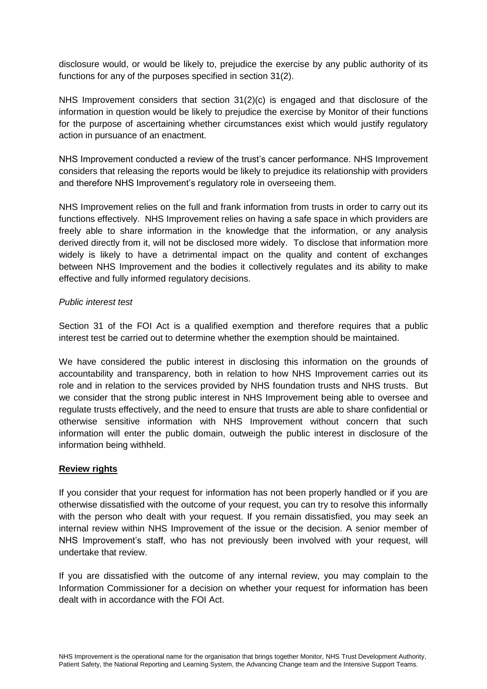disclosure would, or would be likely to, prejudice the exercise by any public authority of its functions for any of the purposes specified in section 31(2).

NHS Improvement considers that section 31(2)(c) is engaged and that disclosure of the information in question would be likely to prejudice the exercise by Monitor of their functions for the purpose of ascertaining whether circumstances exist which would justify regulatory action in pursuance of an enactment.

NHS Improvement conducted a review of the trust's cancer performance. NHS Improvement considers that releasing the reports would be likely to prejudice its relationship with providers and therefore NHS Improvement's regulatory role in overseeing them.

NHS Improvement relies on the full and frank information from trusts in order to carry out its functions effectively. NHS Improvement relies on having a safe space in which providers are freely able to share information in the knowledge that the information, or any analysis derived directly from it, will not be disclosed more widely. To disclose that information more widely is likely to have a detrimental impact on the quality and content of exchanges between NHS Improvement and the bodies it collectively regulates and its ability to make effective and fully informed regulatory decisions.

## *Public interest test*

Section 31 of the FOI Act is a qualified exemption and therefore requires that a public interest test be carried out to determine whether the exemption should be maintained.

We have considered the public interest in disclosing this information on the grounds of accountability and transparency, both in relation to how NHS Improvement carries out its role and in relation to the services provided by NHS foundation trusts and NHS trusts. But we consider that the strong public interest in NHS Improvement being able to oversee and regulate trusts effectively, and the need to ensure that trusts are able to share confidential or otherwise sensitive information with NHS Improvement without concern that such information will enter the public domain, outweigh the public interest in disclosure of the information being withheld.

# **Review rights**

If you consider that your request for information has not been properly handled or if you are otherwise dissatisfied with the outcome of your request, you can try to resolve this informally with the person who dealt with your request. If you remain dissatisfied, you may seek an internal review within NHS Improvement of the issue or the decision. A senior member of NHS Improvement's staff, who has not previously been involved with your request, will undertake that review.

If you are dissatisfied with the outcome of any internal review, you may complain to the Information Commissioner for a decision on whether your request for information has been dealt with in accordance with the FOI Act.